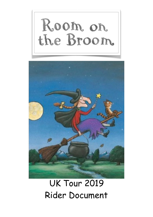



# UK Tour 2019 Rider Document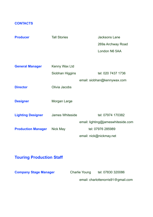# **CONTACTS**

| <b>Producer</b>           | <b>Tall Stories</b> | <b>Jacksons Lane</b>               |
|---------------------------|---------------------|------------------------------------|
|                           |                     | 269a Archway Road                  |
|                           |                     | London N6 5AA                      |
|                           |                     |                                    |
| <b>General Manager</b>    | Kenny Wax Ltd       |                                    |
|                           | Siobhan Higgins     | tel: 020 7437 1736                 |
|                           |                     | email: siobhan@kennywax.com        |
| <b>Director</b>           | Olivia Jacobs       |                                    |
|                           |                     |                                    |
| <b>Designer</b>           | Morgan Large        |                                    |
|                           |                     |                                    |
| <b>Lighting Designer</b>  | James Whiteside     | tel: 07974 170382                  |
|                           |                     | email: lighting@jameswhiteside.com |
| <b>Production Manager</b> | Nick May            | tel: 07976 285989                  |
|                           |                     | email: nick@nickmay.net            |

# **Touring Production Staff**

**Company Stage Manager Charlie Young** tel: 07830 320086

email: charlottenorris91@gmail.com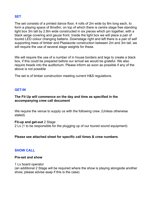# **SET**

The set consists of a printed dance floor, 4 rolls of 2m wide by 8m long each, to form a playing space of 8mx8m, on top of which there is centre stage free standing light box 3m tall by 2.8m wide constructed in six pieces which pin together, with a black serge covering and gauze front. Inside the light box we will place a pair of toured LED colour changing battens. Downstage right and left there is a pair of self supporting trees of timber and Plastazote construction between 2m and 3m tall, we will require the use of several stage weights for these.

We will require the use of a number of in house borders and legs to create a black box, if this could be prepared before our arrival we would be grateful. We also require treads into the auditorium. Please inform as soon as possible if any of the above is not possible

The set is of timber construction meeting current H&S regulations.

# **GET-IN**

# **The Fit Up will commence on the day and time as specified in the accompanying crew call document**

We require the venue to supply us with the following crew. (Unless otherwise stated)

#### **Fit-up and get-out** 2 Stage

2 Lx (1 to be responsible for the plugging up of our toured sound equipment)

# **Please see attached sheet for specific call times & crew numbers**

# **SHOW CALL**

#### **Pre-set and show**

1 Lx board operator (an additional 2 Stage will be required where the show is playing alongside another show, please advise asap if this is the case)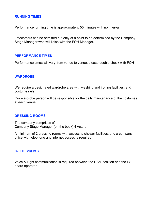# **RUNNING TIMES**

Performance running time is approximately: 55 minutes with no interval

Latecomers can be admitted but only at a point to be determined by the Company Stage Manager who will liaise with the FOH Manager.

# **PERFORMANCE TIMES**

Performance times will vary from venue to venue, please double check with FOH

# **WARDROBE**

We require a designated wardrobe area with washing and ironing facilities, and costume rails.

Our wardrobe person will be responsible for the daily maintenance of the costumes at each venue

# **DRESSING ROOMS**

The company comprises of: Company Stage Manager (on the book) 4 Actors

A minimum of 2 dressing rooms with access to shower facilities, and a company office with telephone and internet access is required.

# **Q-LITES/COMS**

Voice & Light communication is required between the DSM position and the Lx board operator